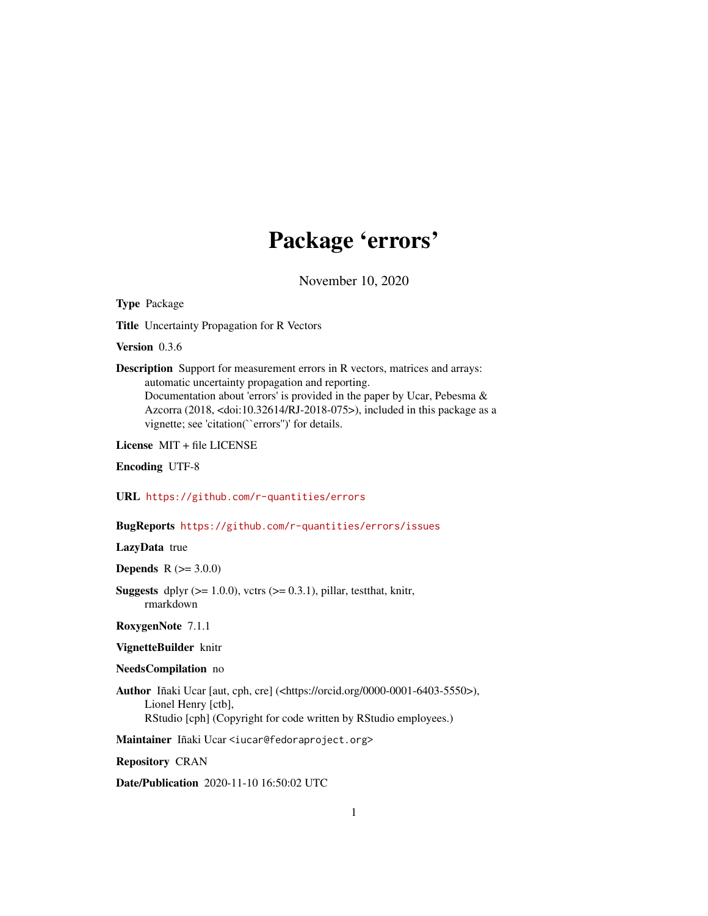# Package 'errors'

November 10, 2020

<span id="page-0-0"></span>Type Package

Title Uncertainty Propagation for R Vectors

Version 0.3.6

Description Support for measurement errors in R vectors, matrices and arrays: automatic uncertainty propagation and reporting. Documentation about 'errors' is provided in the paper by Ucar, Pebesma & Azcorra (2018, <doi:10.32614/RJ-2018-075>), included in this package as a vignette; see 'citation(``errors'')' for details.

License MIT + file LICENSE

Encoding UTF-8

URL <https://github.com/r-quantities/errors>

BugReports <https://github.com/r-quantities/errors/issues>

LazyData true

**Depends** R  $(>= 3.0.0)$ 

**Suggests** dplyr  $(>= 1.0.0)$ , vctrs  $(>= 0.3.1)$ , pillar, test that, knitr, rmarkdown

RoxygenNote 7.1.1

VignetteBuilder knitr

#### NeedsCompilation no

Author Iñaki Ucar [aut, cph, cre] (<https://orcid.org/0000-0001-6403-5550>), Lionel Henry [ctb], RStudio [cph] (Copyright for code written by RStudio employees.)

Maintainer Iñaki Ucar <iucar@fedoraproject.org>

Repository CRAN

Date/Publication 2020-11-10 16:50:02 UTC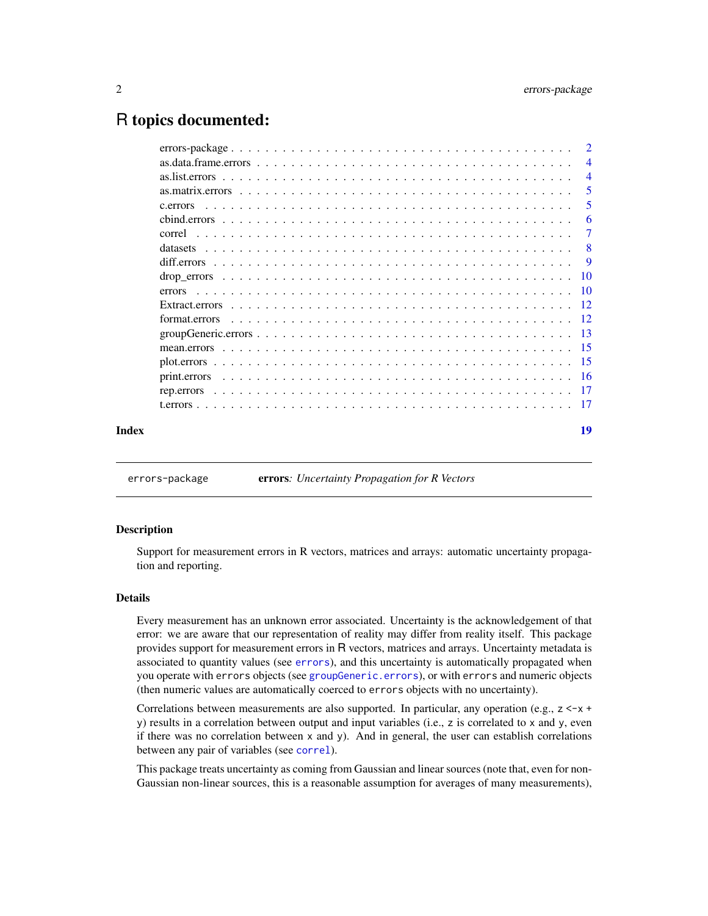# <span id="page-1-0"></span>R topics documented:

|       |        | $\overline{2}$ |
|-------|--------|----------------|
|       |        | $\overline{4}$ |
|       |        | $\overline{4}$ |
|       |        | 5              |
|       |        | 5              |
|       |        | 6              |
|       |        | $\overline{7}$ |
|       |        | -8             |
|       |        | 9              |
|       |        |                |
|       | errors |                |
|       |        |                |
|       |        |                |
|       |        |                |
|       |        |                |
|       |        |                |
|       |        |                |
|       |        |                |
|       |        |                |
| Index |        | 19             |
|       |        |                |

<span id="page-1-1"></span>errors-package errors*: Uncertainty Propagation for R Vectors*

#### **Description**

Support for measurement errors in R vectors, matrices and arrays: automatic uncertainty propagation and reporting.

#### Details

Every measurement has an unknown error associated. Uncertainty is the acknowledgement of that error: we are aware that our representation of reality may differ from reality itself. This package provides support for measurement errors in R vectors, matrices and arrays. Uncertainty metadata is associated to quantity values (see [errors](#page-9-1)), and this uncertainty is automatically propagated when you operate with errors objects (see [groupGeneric.errors](#page-12-1)), or with errors and numeric objects (then numeric values are automatically coerced to errors objects with no uncertainty).

Correlations between measurements are also supported. In particular, any operation (e.g.,  $z \leq x +$ y) results in a correlation between output and input variables (i.e., z is correlated to x and y, even if there was no correlation between x and y). And in general, the user can establish correlations between any pair of variables (see [correl](#page-6-1)).

This package treats uncertainty as coming from Gaussian and linear sources (note that, even for non-Gaussian non-linear sources, this is a reasonable assumption for averages of many measurements),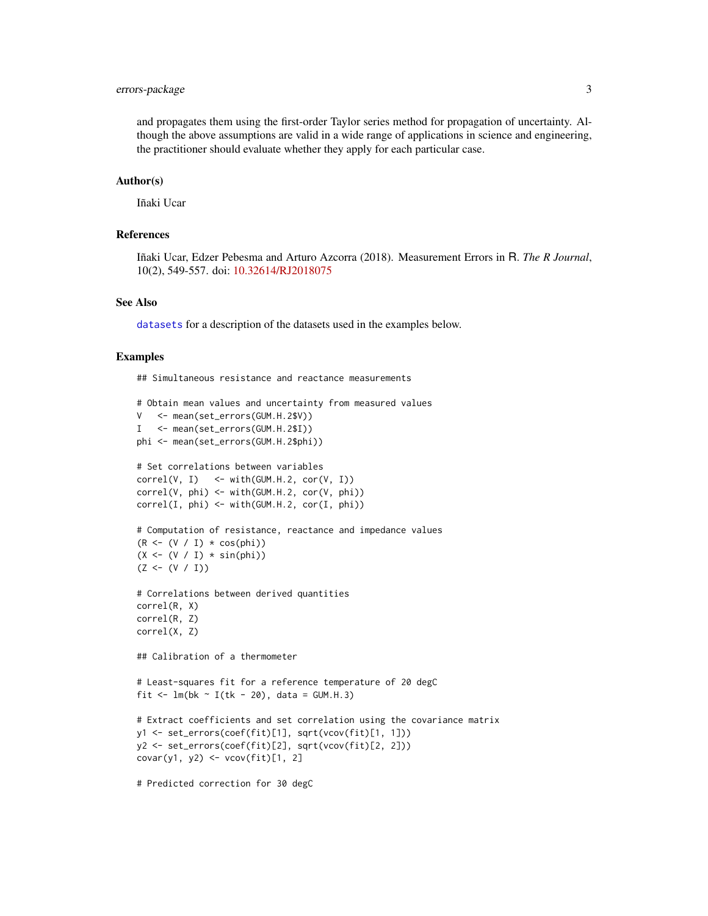## <span id="page-2-0"></span>errors-package 3

and propagates them using the first-order Taylor series method for propagation of uncertainty. Although the above assumptions are valid in a wide range of applications in science and engineering, the practitioner should evaluate whether they apply for each particular case.

#### Author(s)

Iñaki Ucar

#### References

Iñaki Ucar, Edzer Pebesma and Arturo Azcorra (2018). Measurement Errors in R. *The R Journal*, 10(2), 549-557. doi: [10.32614/RJ2018075](https://doi.org/10.32614/RJ-2018-075)

#### See Also

[datasets](#page-7-1) for a description of the datasets used in the examples below.

#### Examples

## Simultaneous resistance and reactance measurements

```
# Obtain mean values and uncertainty from measured values
V <- mean(set_errors(GUM.H.2$V))
I <- mean(set_errors(GUM.H.2$I))
phi <- mean(set_errors(GUM.H.2$phi))
# Set correlations between variables
correl(V, I) <- with(GUM.H.2, cor(V, I))
correl(V, phi) <- with(GUM.H.2, cor(V, phi))
correl(I, phi) <- with(GUM.H.2, cor(I, phi))
# Computation of resistance, reactance and impedance values
(R \leftarrow (V / I) \times \cos(\phi h i))(X \leq (V / I) * sin(\pi h i))(Z \leftarrow (V / I))# Correlations between derived quantities
correl(R, X)
correl(R, Z)
correl(X, Z)
## Calibration of a thermometer
# Least-squares fit for a reference temperature of 20 degC
fit \leq lm(bk \sim I(tk - 20), data = GUM.H.3)
# Extract coefficients and set correlation using the covariance matrix
y1 <- set_errors(coef(fit)[1], sqrt(vcov(fit)[1, 1]))
y2 <- set_errors(coef(fit)[2], sqrt(vcov(fit)[2, 2]))
covar(y1, y2) \leftarrow vcov(fit)[1, 2]
```
# Predicted correction for 30 degC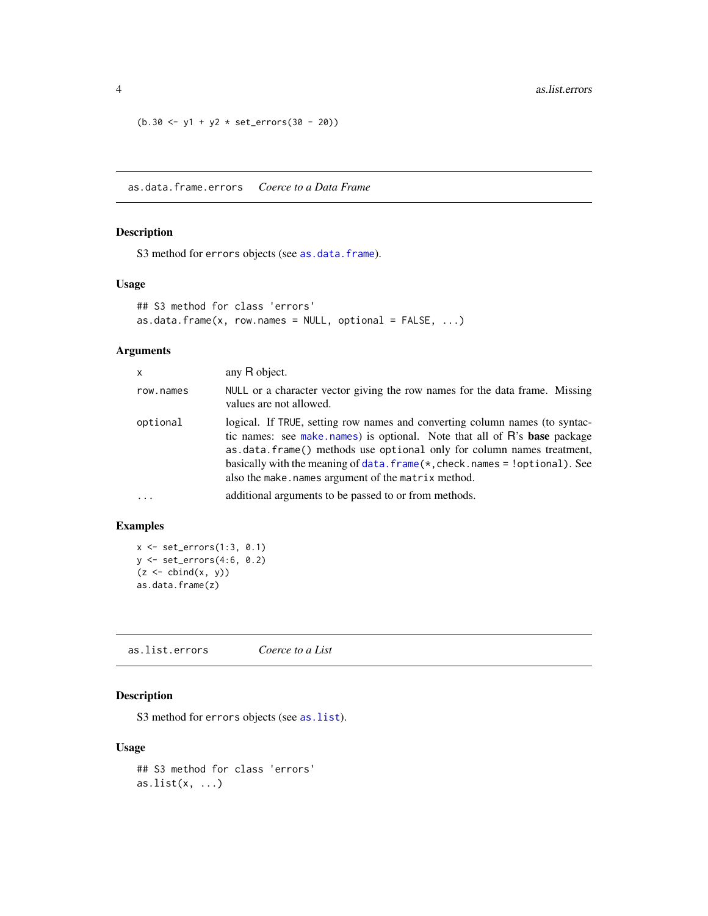```
(b.30 \le y1 + y2 \times set\_errors(30 - 20))
```
<span id="page-3-1"></span>as.data.frame.errors *Coerce to a Data Frame*

## Description

S3 method for errors objects (see [as.data.frame](#page-0-0)).

#### Usage

```
## S3 method for class 'errors'
as.data.frame(x, row.names = NULL, optional = FALSE, ...)
```
# Arguments

| x         | any R object.                                                                                                                                                                                                                                                                                                                                                                   |
|-----------|---------------------------------------------------------------------------------------------------------------------------------------------------------------------------------------------------------------------------------------------------------------------------------------------------------------------------------------------------------------------------------|
| row.names | NULL or a character vector giving the row names for the data frame. Missing<br>values are not allowed.                                                                                                                                                                                                                                                                          |
| optional  | logical. If TRUE, setting row names and converting column names (to syntac-<br>tic names: see make names) is optional. Note that all of R's base package<br>as data frame () methods use optional only for column names treatment,<br>basically with the meaning of $data$ . frame $(*$ , check. names = !optional). See<br>also the make, names argument of the matrix method. |
| $\cdots$  | additional arguments to be passed to or from methods.                                                                                                                                                                                                                                                                                                                           |

## Examples

```
x <- set_errors(1:3, 0.1)
y <- set_errors(4:6, 0.2)
(z \leftarrow \text{cbind}(x, y))as.data.frame(z)
```
as.list.errors *Coerce to a List*

#### Description

S3 method for errors objects (see as. list).

```
## S3 method for class 'errors'
as.list(x, \ldots)
```
<span id="page-3-0"></span>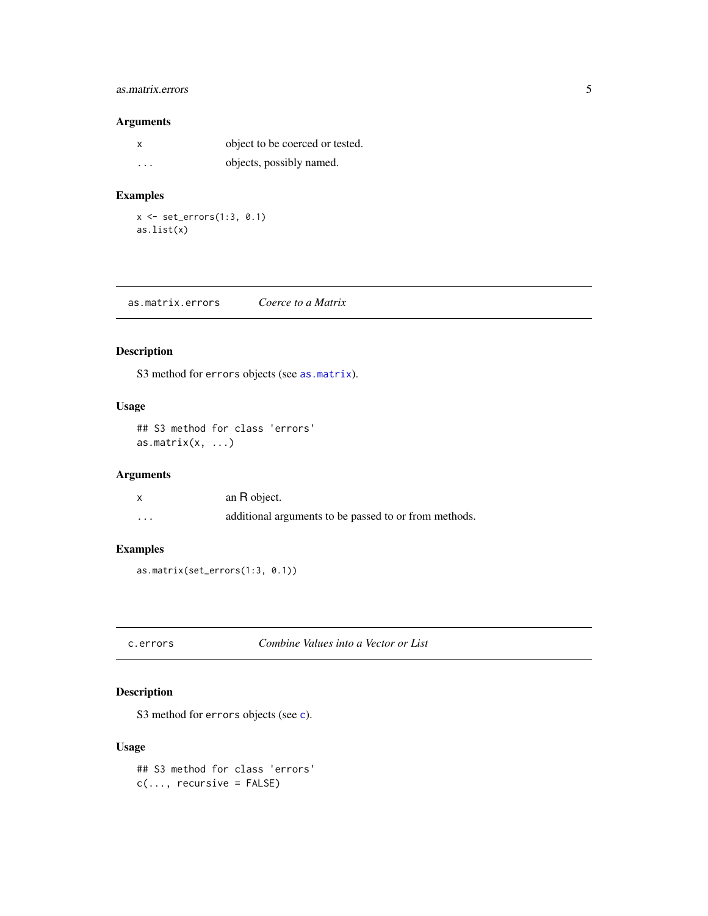# <span id="page-4-0"></span>as.matrix.errors 5

## Arguments

|                         | object to be coerced or tested. |
|-------------------------|---------------------------------|
| $\cdot$ $\cdot$ $\cdot$ | objects, possibly named.        |

# Examples

 $x \leftarrow set\_errors(1:3, 0.1)$ as.list(x)

<span id="page-4-2"></span>as.matrix.errors *Coerce to a Matrix*

## Description

S3 method for errors objects (see [as.matrix](#page-0-0)).

## Usage

## S3 method for class 'errors' as.matrix $(x, \ldots)$ 

## Arguments

|   | an R object.                                          |
|---|-------------------------------------------------------|
| . | additional arguments to be passed to or from methods. |

# Examples

```
as.matrix(set_errors(1:3, 0.1))
```

```
c.errors Combine Values into a Vector or List
```
## Description

S3 method for errors obje[c](#page-0-0)ts (see c).

```
## S3 method for class 'errors'
c(\ldots, recursive = FALSE)
```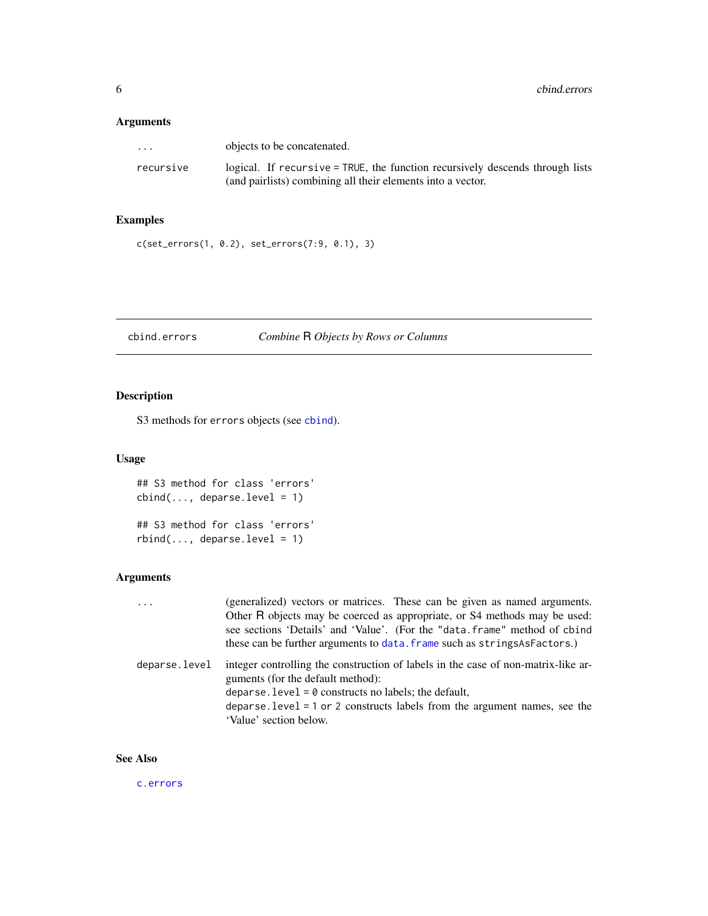# <span id="page-5-0"></span>Arguments

| $\cdots$  | objects to be concatenated.                                                   |
|-----------|-------------------------------------------------------------------------------|
| recursive | logical. If recursive = TRUE, the function recursively descends through lists |
|           | (and pairlists) combining all their elements into a vector.                   |

## Examples

c(set\_errors(1, 0.2), set\_errors(7:9, 0.1), 3)

# <span id="page-5-1"></span>cbind.errors *Combine* R *Objects by Rows or Columns*

# Description

S3 methods for errors objects (see [cbind](#page-0-0)).

# Usage

```
## S3 method for class 'errors'
cbind(..., deparse.level = 1)## S3 method for class 'errors'
rbind(..., deparse.level = 1)
```
## Arguments

| $\cdot$ $\cdot$ $\cdot$ | (generalized) vectors or matrices. These can be given as named arguments.                                              |
|-------------------------|------------------------------------------------------------------------------------------------------------------------|
|                         | Other R objects may be coerced as appropriate, or S4 methods may be used:                                              |
|                         | see sections 'Details' and 'Value'. (For the "data.frame" method of cbind                                              |
|                         | these can be further arguments to data. frame such as strings As Factors.)                                             |
| deparse.level           | integer controlling the construction of labels in the case of non-matrix-like ar-<br>guments (for the default method): |
|                         | deparse. level = $\theta$ constructs no labels; the default,                                                           |
|                         | deparse. level $= 1$ or 2 constructs labels from the argument names, see the                                           |
|                         | 'Value' section below.                                                                                                 |

# See Also

[c.errors](#page-4-1)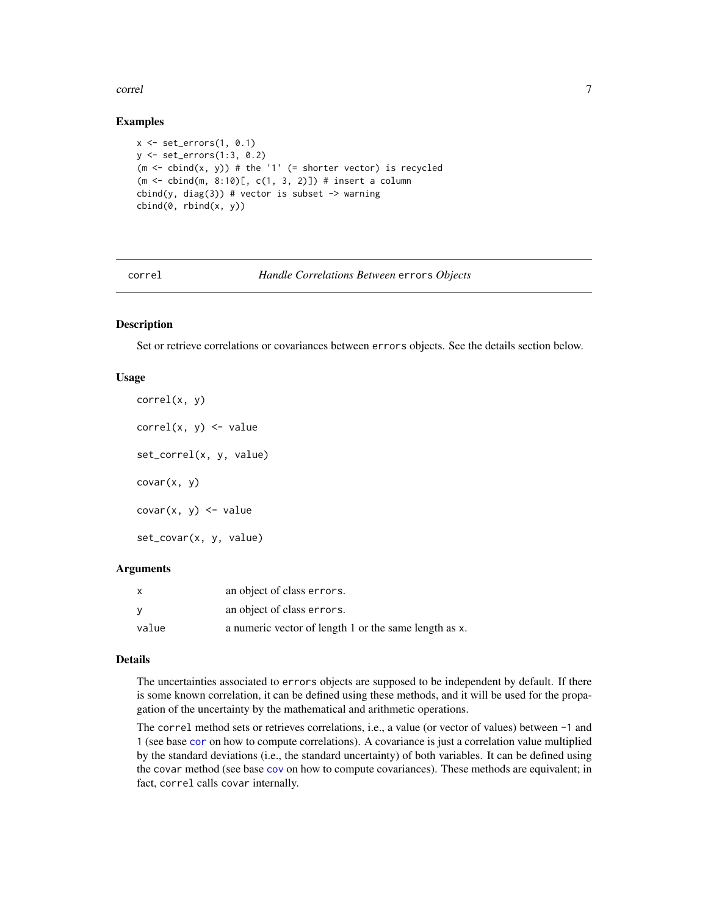#### <span id="page-6-0"></span>correl to the control of the control of the control of the control of the control of the control of the control of the control of the control of the control of the control of the control of the control of the control of th

#### Examples

```
x \le - set_errors(1, 0.1)
y <- set_errors(1:3, 0.2)
(m \leq - \text{cbind}(x, y)) # the '1' (= shorter vector) is recycled
(m <- cbind(m, 8:10)[, c(1, 3, 2)]) # insert a column
cbind(y, diag(3)) # vector is subset \rightarrow warning
cbind(0, rbind(x, y))
```
<span id="page-6-1"></span>

#### correl *Handle Correlations Between* errors *Objects*

#### **Description**

Set or retrieve correlations or covariances between errors objects. See the details section below.

#### Usage

```
correl(x, y)
correl(x, y) \leq valueset_correl(x, y, value)
covar(x, y)
covar(x, y) \le -valueset_covar(x, y, value)
```
#### **Arguments**

| $\mathsf{x}$ | an object of class errors.                            |
|--------------|-------------------------------------------------------|
| - V          | an object of class errors.                            |
| value        | a numeric vector of length 1 or the same length as x. |

#### Details

The uncertainties associated to errors objects are supposed to be independent by default. If there is some known correlation, it can be defined using these methods, and it will be used for the propagation of the uncertainty by the mathematical and arithmetic operations.

The correl method sets or retrieves correlations, i.e., a value (or vector of values) between -1 and 1 (see base [cor](#page-0-0) on how to compute correlations). A covariance is just a correlation value multiplied by the standard deviations (i.e., the standard uncertainty) of both variables. It can be defined using the covar method (see base [cov](#page-0-0) on how to compute covariances). These methods are equivalent; in fact, correl calls covar internally.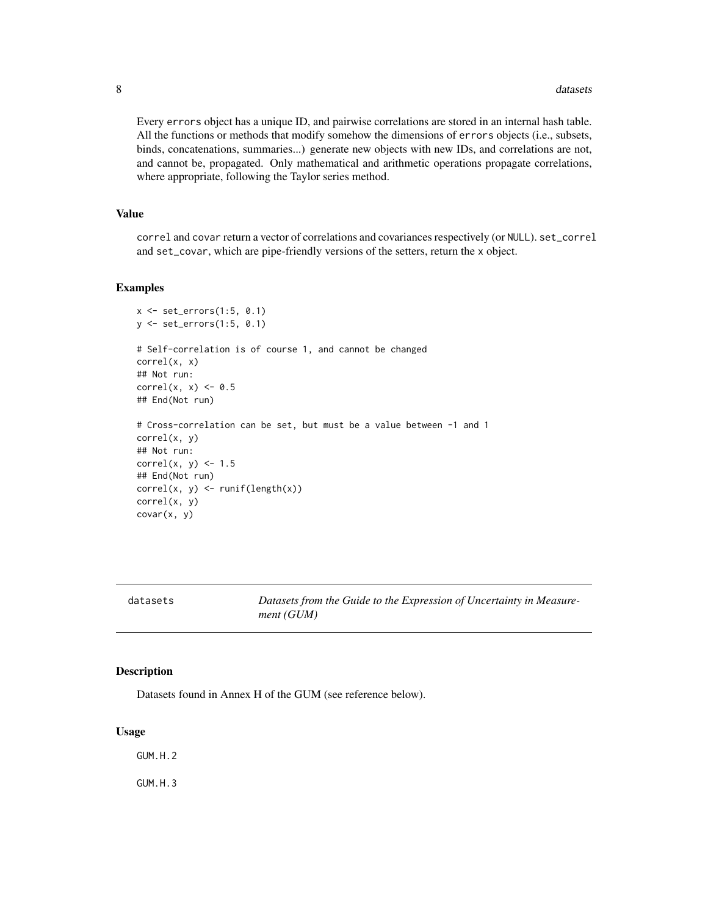<span id="page-7-0"></span>Every errors object has a unique ID, and pairwise correlations are stored in an internal hash table. All the functions or methods that modify somehow the dimensions of errors objects (i.e., subsets, binds, concatenations, summaries...) generate new objects with new IDs, and correlations are not, and cannot be, propagated. Only mathematical and arithmetic operations propagate correlations, where appropriate, following the Taylor series method.

#### Value

correl and covar return a vector of correlations and covariances respectively (or NULL). set\_correl and set\_covar, which are pipe-friendly versions of the setters, return the x object.

#### Examples

```
x \leftarrow set\_errors(1:5, 0.1)y <- set_errors(1:5, 0.1)
# Self-correlation is of course 1, and cannot be changed
correl(x, x)
## Not run:
correl(x, x) \leftarrow 0.5## End(Not run)
# Cross-correlation can be set, but must be a value between -1 and 1
correl(x, y)
## Not run:
correl(x, y) <- 1.5
## End(Not run)
correl(x, y) \leftarrow runif(length(x))correl(x, y)
covar(x, y)
```
<span id="page-7-1"></span>

| datasets |
|----------|
|----------|

Datasets from the Guide to the Expression of Uncertainty in Measure*ment (GUM)*

#### Description

Datasets found in Annex H of the GUM (see reference below).

#### Usage

GUM.H.2

GUM.H.3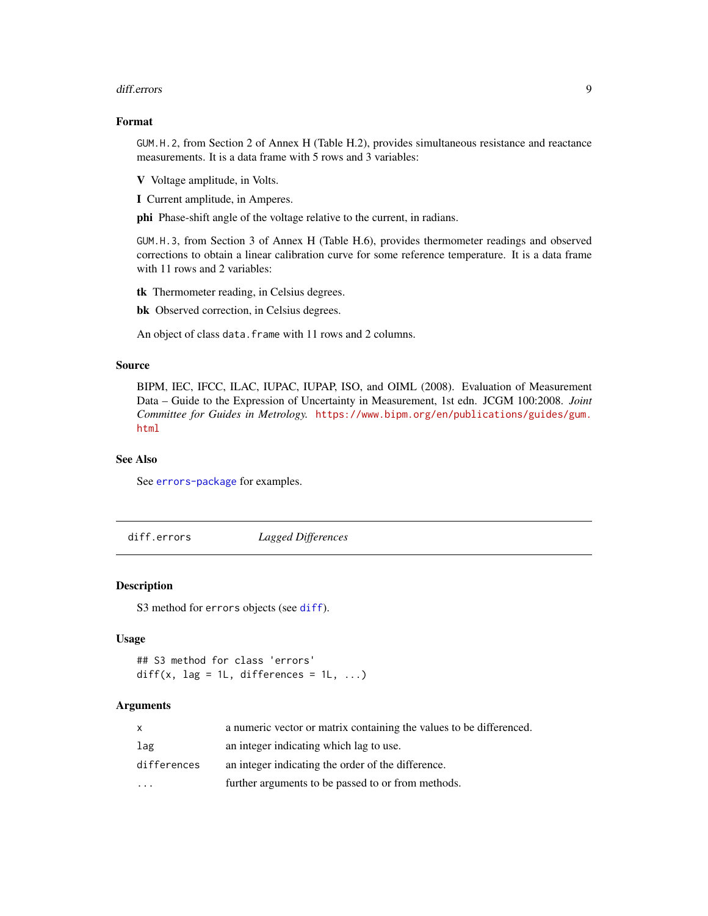#### <span id="page-8-0"></span>diff.errors **9**

#### Format

GUM.H.2, from Section 2 of Annex H (Table H.2), provides simultaneous resistance and reactance measurements. It is a data frame with 5 rows and 3 variables:

V Voltage amplitude, in Volts.

I Current amplitude, in Amperes.

phi Phase-shift angle of the voltage relative to the current, in radians.

GUM.H.3, from Section 3 of Annex H (Table H.6), provides thermometer readings and observed corrections to obtain a linear calibration curve for some reference temperature. It is a data frame with 11 rows and 2 variables:

tk Thermometer reading, in Celsius degrees.

bk Observed correction, in Celsius degrees.

An object of class data.frame with 11 rows and 2 columns.

#### Source

BIPM, IEC, IFCC, ILAC, IUPAC, IUPAP, ISO, and OIML (2008). Evaluation of Measurement Data – Guide to the Expression of Uncertainty in Measurement, 1st edn. JCGM 100:2008. *Joint Committee for Guides in Metrology.* [https://www.bipm.org/en/publications/guides/gum.](https://www.bipm.org/en/publications/guides/gum.html) [html](https://www.bipm.org/en/publications/guides/gum.html)

#### See Also

See [errors-package](#page-1-1) for examples.

diff.errors *Lagged Differences*

#### Description

S3 method for errors objects (see [diff](#page-0-0)).

#### Usage

```
## S3 method for class 'errors'
diff(x, lag = 1L, differences = 1L, \dots)
```
#### Arguments

|             | a numeric vector or matrix containing the values to be differenced. |
|-------------|---------------------------------------------------------------------|
| lag         | an integer indicating which lag to use.                             |
| differences | an integer indicating the order of the difference.                  |
|             | further arguments to be passed to or from methods.                  |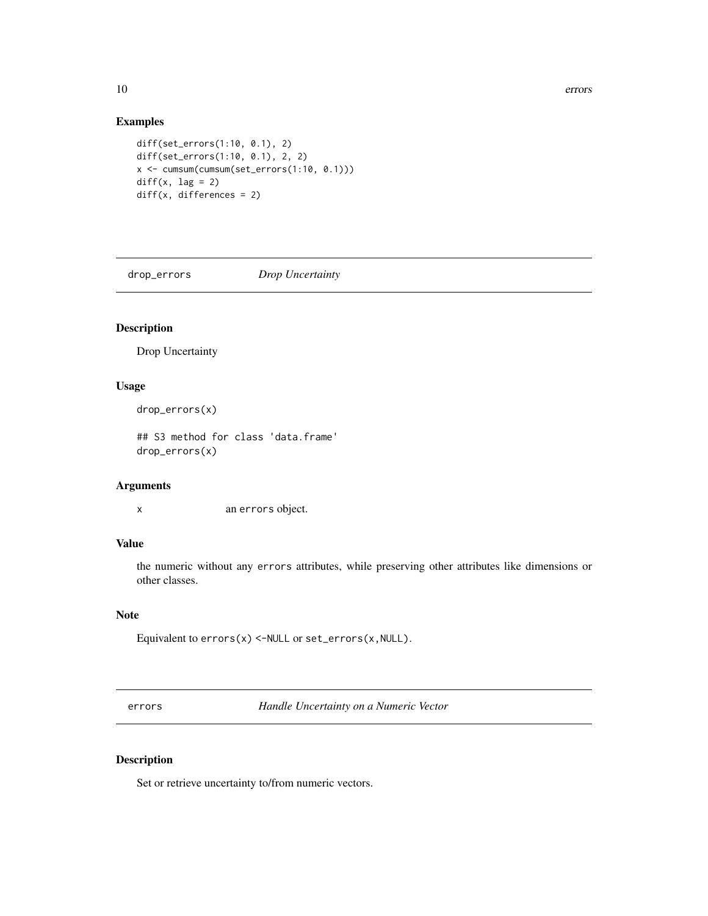# <span id="page-9-0"></span>Examples

```
diff(set_errors(1:10, 0.1), 2)
diff(set_errors(1:10, 0.1), 2, 2)
x <- cumsum(cumsum(set_errors(1:10, 0.1)))
diff(x, lag = 2)diff(x, differences = 2)
```
drop\_errors *Drop Uncertainty*

# Description

Drop Uncertainty

#### Usage

drop\_errors(x)

## S3 method for class 'data.frame' drop\_errors(x)

#### Arguments

x an errors object.

# Value

the numeric without any errors attributes, while preserving other attributes like dimensions or other classes.

#### Note

Equivalent to  $errors(x)$  <-NULL or  $set\_errors(x,NULL)$ .

<span id="page-9-1"></span>errors *Handle Uncertainty on a Numeric Vector*

#### Description

Set or retrieve uncertainty to/from numeric vectors.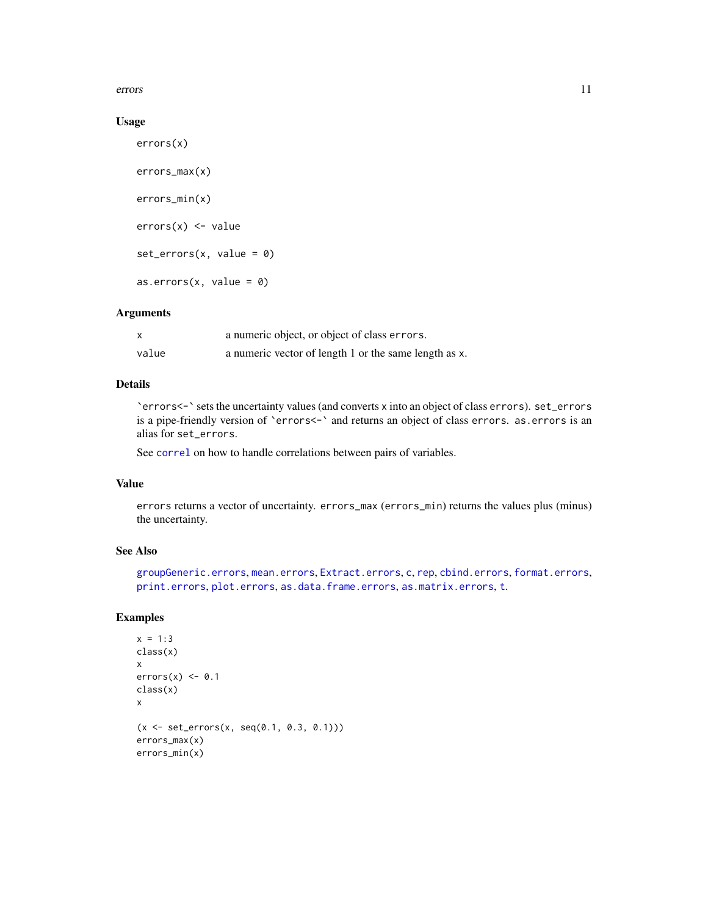<span id="page-10-0"></span>errors and the contract of the contract of the contract of the contract of the contract of the contract of the contract of the contract of the contract of the contract of the contract of the contract of the contract of the

#### Usage

```
errors(x)
errors_max(x)
errors_min(x)
errors(x) <- value
set\_errors(x, value = 0)as.errors(x, value = 0)
```
#### Arguments

|       | a numeric object, or object of class errors.          |
|-------|-------------------------------------------------------|
| value | a numeric vector of length 1 or the same length as x. |

#### Details

`errors<-` sets the uncertainty values (and converts x into an object of class errors). set\_errors is a pipe-friendly version of 'errors<-' and returns an object of class errors. as.errors is an alias for set\_errors.

See [correl](#page-6-1) on how to handle correlations between pairs of variables.

#### Value

errors returns a vector of uncertainty. errors\_max (errors\_min) returns the values plus (minus) the uncertainty.

### See Also

```
groupGeneric.errors, mean.errors, Extract.errors, c, rep, cbind.errors, format.errors,
print.errors, plot.errors, as.data.frame.errors, as.matrix.errors, t.
```

```
x = 1:3class(x)
x
errors(x) \leftarrow 0.1class(x)
x
(x \le - set\_errors(x, seq(0.1, 0.3, 0.1)))errors_max(x)
errors_min(x)
```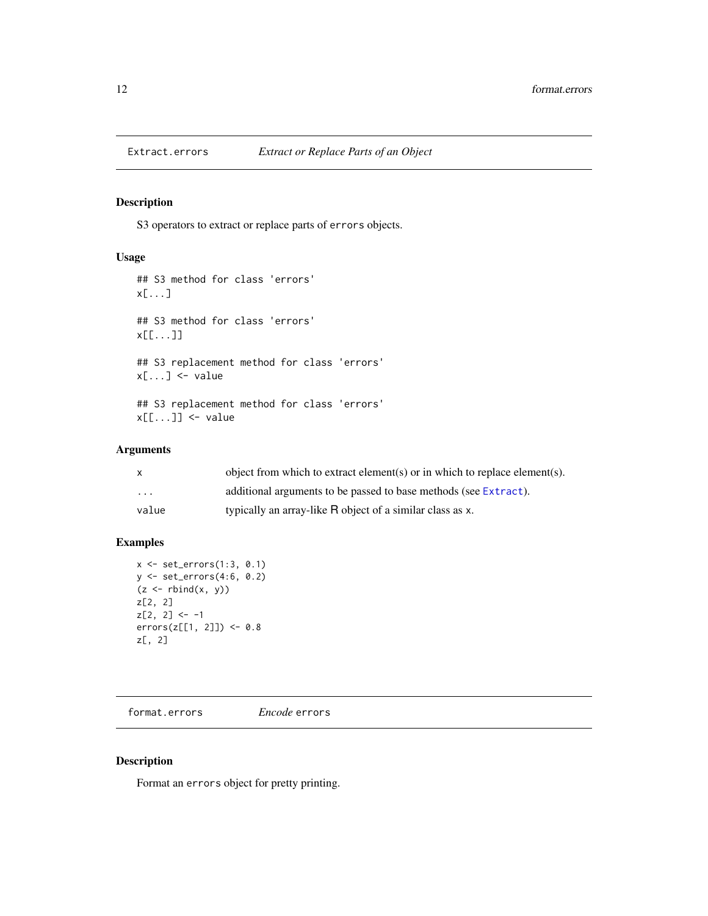<span id="page-11-1"></span><span id="page-11-0"></span>

## Description

S3 operators to extract or replace parts of errors objects.

#### Usage

```
## S3 method for class 'errors'
x[...]
## S3 method for class 'errors'
x[[...]]
## S3 replacement method for class 'errors'
x[\ldots] <- value
## S3 replacement method for class 'errors'
x[[...]] < - value
```
## Arguments

| X        | object from which to extract element(s) or in which to replace element(s). |
|----------|----------------------------------------------------------------------------|
| $\cdots$ | additional arguments to be passed to base methods (see Extract).           |
| value    | typically an array-like R object of a similar class as x.                  |

#### Examples

```
x \leftarrow set\_errors(1:3, 0.1)y <- set_errors(4:6, 0.2)
(z \leftarrow \text{rbind}(x, y))z[2, 2]
z[2, 2] <- -1
errors(z[[1, 2]]) <- 0.8
z[, 2]
```
<span id="page-11-2"></span>format.errors *Encode* errors

## Description

Format an errors object for pretty printing.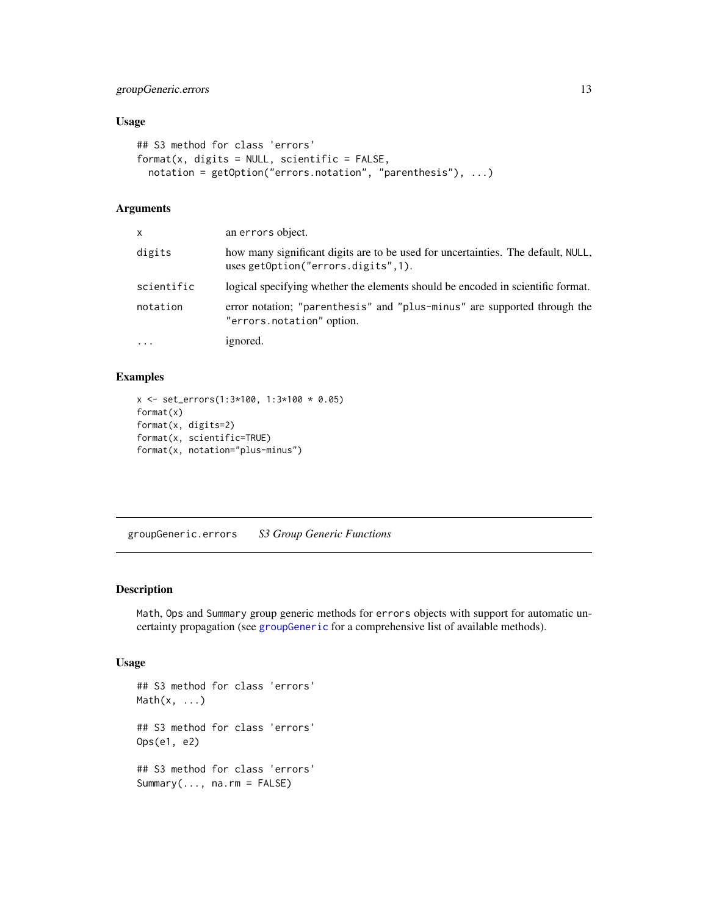## <span id="page-12-0"></span>groupGeneric.errors 13

#### Usage

```
## S3 method for class 'errors'
format(x, digits = NULL, scientific = FALSE,notation = getOption("errors.notation", "parenthesis"), ...)
```
#### Arguments

| x          | an errors object.                                                                                                      |
|------------|------------------------------------------------------------------------------------------------------------------------|
| digits     | how many significant digits are to be used for uncertainties. The default, NULL,<br>uses getOption("errors.digits",1). |
| scientific | logical specifying whether the elements should be encoded in scientific format.                                        |
| notation   | error notation; "parenthesis" and "plus-minus" are supported through the<br>"errors.notation" option.                  |
| $\cdots$   | ignored.                                                                                                               |

# Examples

```
x <- set_errors(1:3*100, 1:3*100 * 0.05)
format(x)
format(x, digits=2)
format(x, scientific=TRUE)
format(x, notation="plus-minus")
```
<span id="page-12-1"></span>groupGeneric.errors *S3 Group Generic Functions*

#### Description

Math, Ops and Summary group generic methods for errors objects with support for automatic uncertainty propagation (see [groupGeneric](#page-0-0) for a comprehensive list of available methods).

```
## S3 method for class 'errors'
Math(x, \ldots)## S3 method for class 'errors'
Ops(e1, e2)
## S3 method for class 'errors'
Summary(..., na.rm = FALSE)
```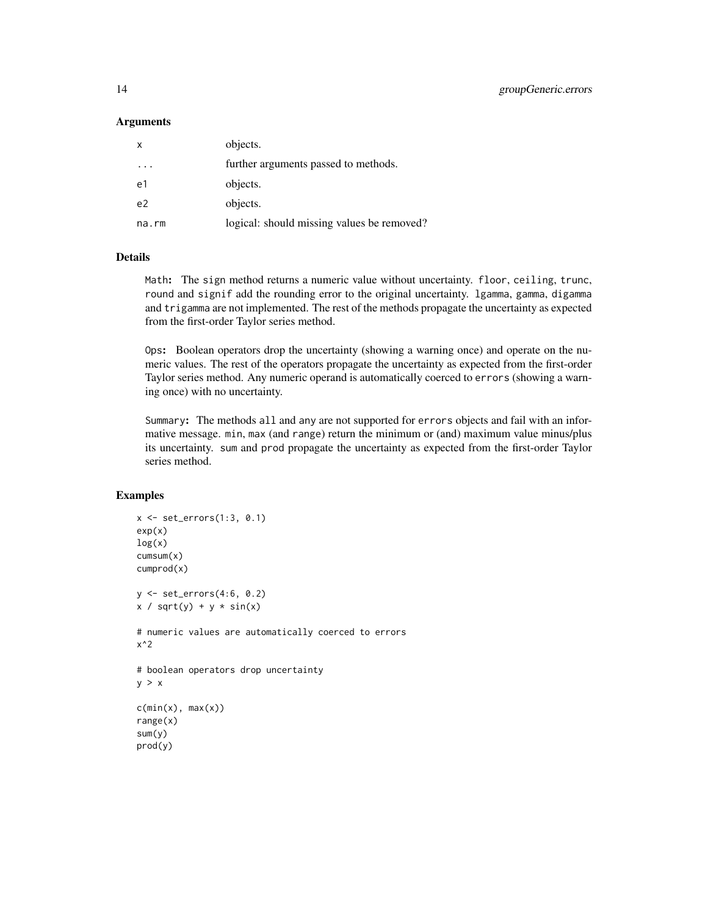#### **Arguments**

| objects.                                   |
|--------------------------------------------|
| further arguments passed to methods.       |
| objects.                                   |
| objects.                                   |
| logical: should missing values be removed? |
|                                            |

#### **Details**

Math: The sign method returns a numeric value without uncertainty. floor, ceiling, trunc, round and signif add the rounding error to the original uncertainty. lgamma, gamma, digamma and trigamma are not implemented. The rest of the methods propagate the uncertainty as expected from the first-order Taylor series method.

Ops: Boolean operators drop the uncertainty (showing a warning once) and operate on the numeric values. The rest of the operators propagate the uncertainty as expected from the first-order Taylor series method. Any numeric operand is automatically coerced to errors (showing a warning once) with no uncertainty.

Summary: The methods all and any are not supported for errors objects and fail with an informative message. min, max (and range) return the minimum or (and) maximum value minus/plus its uncertainty. sum and prod propagate the uncertainty as expected from the first-order Taylor series method.

```
x \leftarrow set\_errors(1:3, 0.1)exp(x)log(x)cumsum(x)
cumprod(x)
y \le - set\_errors(4:6, 0.2)x / sqrt(y) + y * sin(x)# numeric values are automatically coerced to errors
x^2
# boolean operators drop uncertainty
y > xc(min(x), max(x))range(x)
sum(y)
prod(y)
```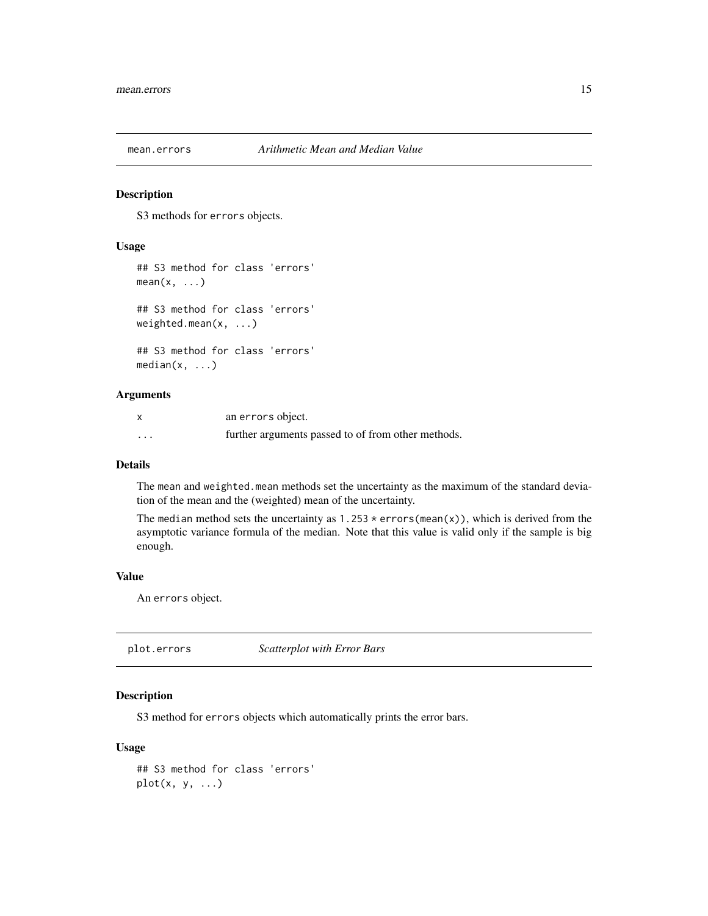<span id="page-14-1"></span><span id="page-14-0"></span>

#### Description

S3 methods for errors objects.

#### Usage

```
## S3 method for class 'errors'
mean(x, \ldots)## S3 method for class 'errors'
weighted.mean(x, ...)
## S3 method for class 'errors'
median(x, ...)
```
## Arguments

| x        | an errors object.                                  |
|----------|----------------------------------------------------|
| $\cdots$ | further arguments passed to of from other methods. |

### Details

The mean and weighted.mean methods set the uncertainty as the maximum of the standard deviation of the mean and the (weighted) mean of the uncertainty.

The median method sets the uncertainty as  $1.253 \times \text{errors}(\text{mean}(x))$ , which is derived from the asymptotic variance formula of the median. Note that this value is valid only if the sample is big enough.

#### Value

An errors object.

<span id="page-14-2"></span>plot.errors *Scatterplot with Error Bars*

#### Description

S3 method for errors objects which automatically prints the error bars.

```
## S3 method for class 'errors'
plot(x, y, ...)
```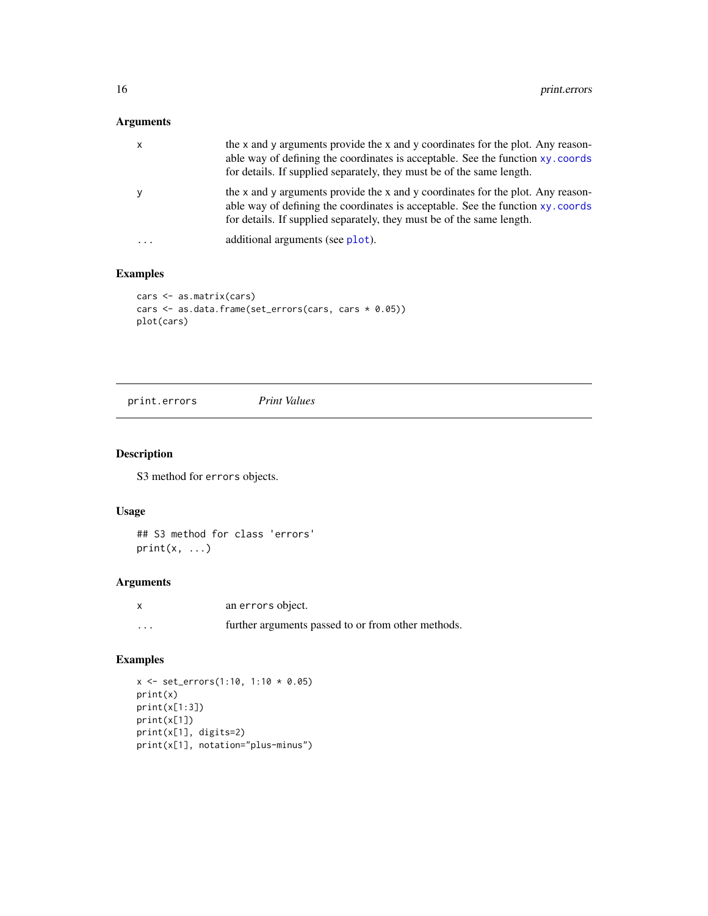# <span id="page-15-0"></span>Arguments

|   | the x and y arguments provide the x and y coordinates for the plot. Any reason-<br>able way of defining the coordinates is acceptable. See the function xy. coords<br>for details. If supplied separately, they must be of the same length. |
|---|---------------------------------------------------------------------------------------------------------------------------------------------------------------------------------------------------------------------------------------------|
|   | the x and y arguments provide the x and y coordinates for the plot. Any reason-<br>able way of defining the coordinates is acceptable. See the function xy. coords<br>for details. If supplied separately, they must be of the same length. |
| . | additional arguments (see plot).                                                                                                                                                                                                            |

# Examples

```
cars <- as.matrix(cars)
cars <- as.data.frame(set_errors(cars, cars * 0.05))
plot(cars)
```
<span id="page-15-1"></span>print.errors *Print Values*

# Description

S3 method for errors objects.

#### Usage

```
## S3 method for class 'errors'
print(x, \ldots)
```
# Arguments

|                         | an errors object.                                  |
|-------------------------|----------------------------------------------------|
| $\cdot$ $\cdot$ $\cdot$ | further arguments passed to or from other methods. |

```
x \le -\text{set\_errors}(1:10, 1:10 * 0.05)print(x)
print(x[1:3])
print(x[1])
print(x[1], digits=2)
print(x[1], notation="plus-minus")
```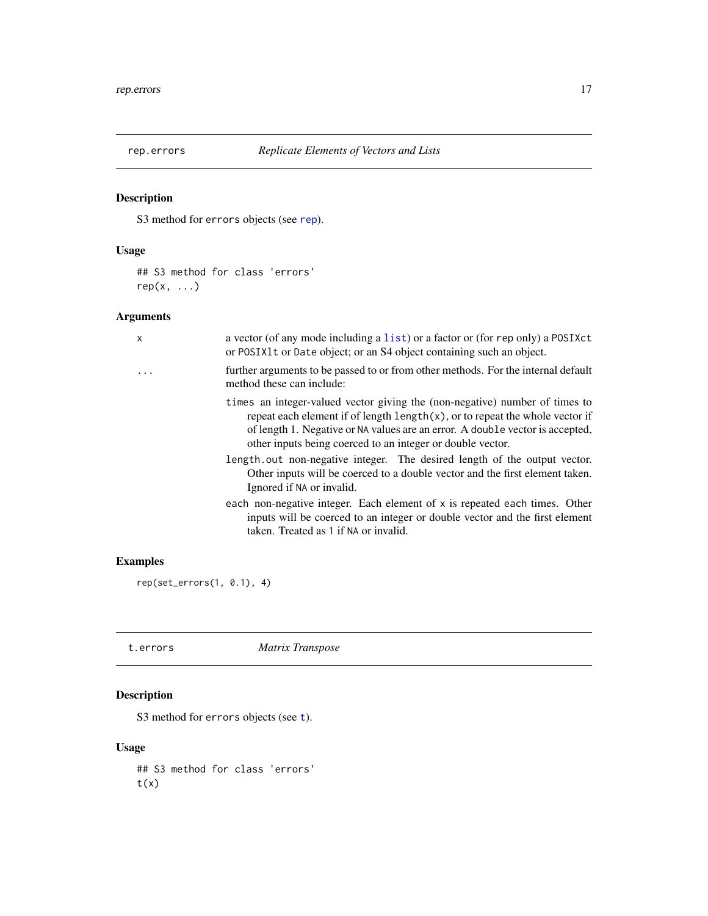<span id="page-16-0"></span>

# Description

S3 method for errors objects (see [rep](#page-0-0)).

## Usage

## S3 method for class 'errors'  $rep(x, \ldots)$ 

# Arguments

| x | a vector (of any mode including a list) or a factor or (for rep only) a POSIXct<br>or POSIX1t or Date object; or an S4 object containing such an object.                                                                                                                                                             |
|---|----------------------------------------------------------------------------------------------------------------------------------------------------------------------------------------------------------------------------------------------------------------------------------------------------------------------|
|   | further arguments to be passed to or from other methods. For the internal default<br>method these can include:                                                                                                                                                                                                       |
|   | times an integer-valued vector giving the (non-negative) number of times to<br>repeat each element if of length $\text{length}(x)$ , or to repeat the whole vector if<br>of length 1. Negative or NA values are an error. A double vector is accepted,<br>other inputs being coerced to an integer or double vector. |
|   | length out non-negative integer. The desired length of the output vector.<br>Other inputs will be coerced to a double vector and the first element taken.<br>Ignored if NA or invalid.                                                                                                                               |
|   | each non-negative integer. Each element of x is repeated each times. Other<br>inputs will be coerced to an integer or double vector and the first element<br>taken. Treated as 1 if NA or invalid.                                                                                                                   |
|   |                                                                                                                                                                                                                                                                                                                      |

# Examples

rep(set\_errors(1, 0.1), 4)

t.errors *Matrix Transpose*

# Description

S3 me[t](#page-0-0)hod for errors objects (see t).

#### Usage

## S3 method for class 'errors'  $t(x)$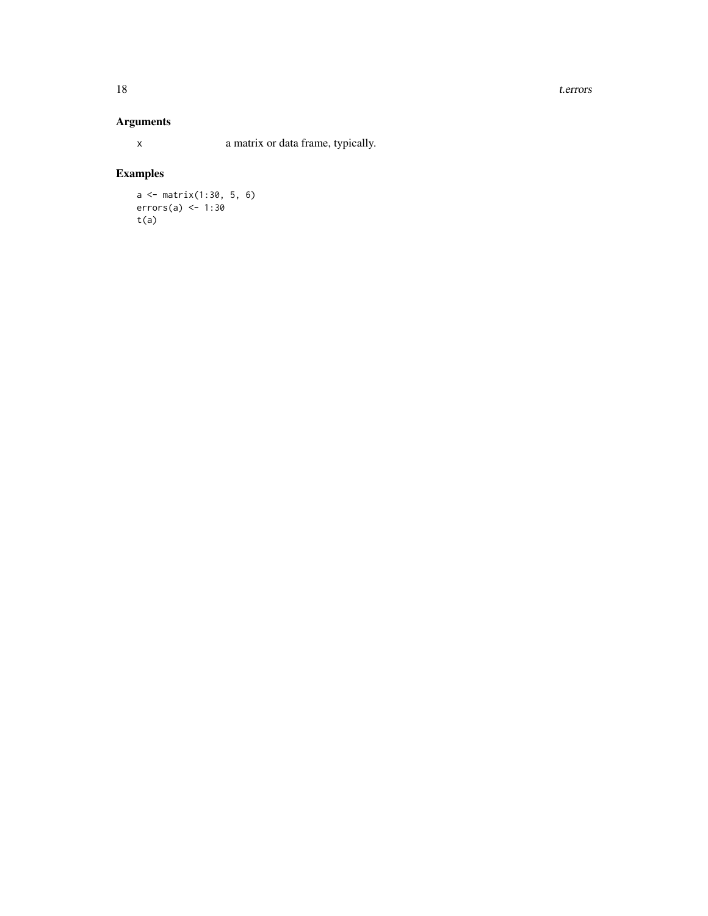#### 18 t.errors

# Arguments

x a matrix or data frame, typically.

```
a <- matrix(1:30, 5, 6)
errors(a) \leftarrow 1:30
t(a)
```